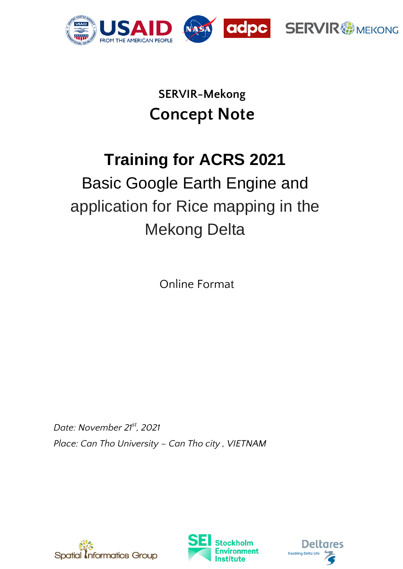

## **SERVIR-Mekong Concept Note**

# **Training for ACRS 2021**

# Basic Google Earth Engine and application for Rice mapping in the Mekong Delta

Online Format

*Date: November 21st, 2021 Place: Can Tho University – Can Tho city , VIETNAM*





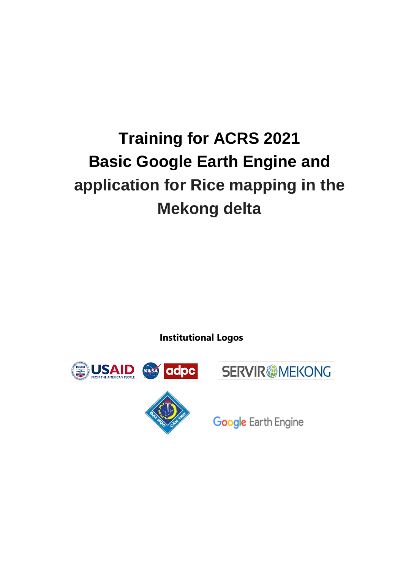# **Training for ACRS 2021 Basic Google Earth Engine and application for Rice mapping in the Mekong delta**

**Institutional Logos**





**Google Earth Engine**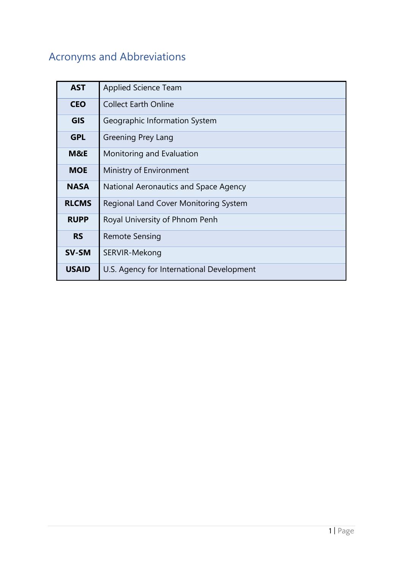## Acronyms and Abbreviations

| <b>AST</b>   | <b>Applied Science Team</b>               |
|--------------|-------------------------------------------|
| <b>CEO</b>   | <b>Collect Earth Online</b>               |
| <b>GIS</b>   | Geographic Information System             |
| <b>GPL</b>   | Greening Prey Lang                        |
| M&E          | Monitoring and Evaluation                 |
| <b>MOE</b>   | Ministry of Environment                   |
| <b>NASA</b>  | National Aeronautics and Space Agency     |
| <b>RLCMS</b> | Regional Land Cover Monitoring System     |
| <b>RUPP</b>  | Royal University of Phnom Penh            |
| <b>RS</b>    | Remote Sensing                            |
| <b>SV-SM</b> | SERVIR-Mekong                             |
| <b>USAID</b> | U.S. Agency for International Development |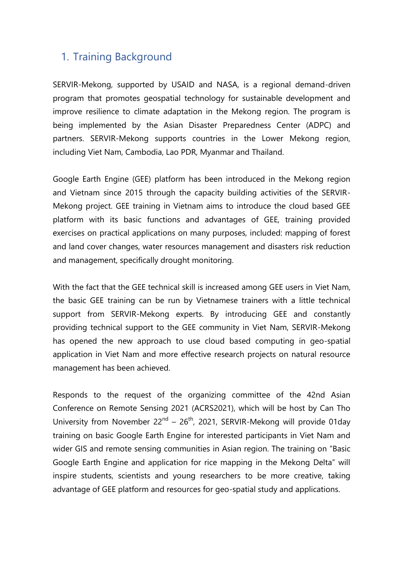### 1. Training Background

SERVIR-Mekong, supported by USAID and NASA, is a regional demand-driven program that promotes geospatial technology for sustainable development and improve resilience to climate adaptation in the Mekong region. The program is being implemented by the Asian Disaster Preparedness Center (ADPC) and partners. SERVIR-Mekong supports countries in the Lower Mekong region, including Viet Nam, Cambodia, Lao PDR, Myanmar and Thailand.

Google Earth Engine (GEE) platform has been introduced in the Mekong region and Vietnam since 2015 through the capacity building activities of the SERVIR-Mekong project. GEE training in Vietnam aims to introduce the cloud based GEE platform with its basic functions and advantages of GEE, training provided exercises on practical applications on many purposes, included: mapping of forest and land cover changes, water resources management and disasters risk reduction and management, specifically drought monitoring.

With the fact that the GEE technical skill is increased among GEE users in Viet Nam, the basic GEE training can be run by Vietnamese trainers with a little technical support from SERVIR-Mekong experts. By introducing GEE and constantly providing technical support to the GEE community in Viet Nam, SERVIR-Mekong has opened the new approach to use cloud based computing in geo-spatial application in Viet Nam and more effective research projects on natural resource management has been achieved.

Responds to the request of the organizing committee of the 42nd Asian Conference on Remote Sensing 2021 (ACRS2021), which will be host by Can Tho University from November  $22^{nd}$  –  $26^{th}$ , 2021, SERVIR-Mekong will provide 01day training on basic Google Earth Engine for interested participants in Viet Nam and wider GIS and remote sensing communities in Asian region. The training on "Basic Google Earth Engine and application for rice mapping in the Mekong Delta" will inspire students, scientists and young researchers to be more creative, taking advantage of GEE platform and resources for geo-spatial study and applications.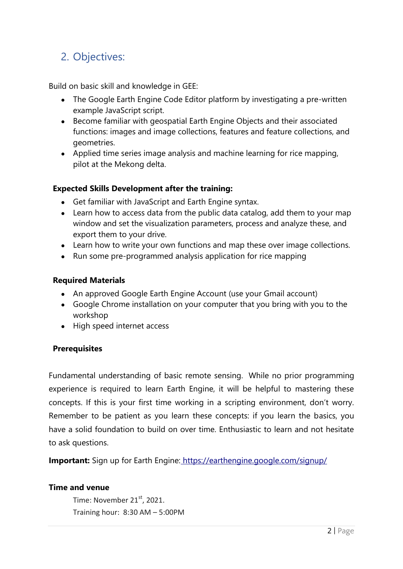## 2. Objectives:

Build on basic skill and knowledge in GEE:

- The Google Earth Engine Code Editor platform by investigating a pre-written example JavaScript script.
- Become familiar with geospatial Earth Engine Objects and their associated functions: images and image collections, features and feature collections, and geometries.
- Applied time series image analysis and machine learning for rice mapping, pilot at the Mekong delta.

#### **Expected Skills Development after the training:**

- Get familiar with JavaScript and Earth Engine syntax.
- Learn how to access data from the public data catalog, add them to your map window and set the visualization parameters, process and analyze these, and export them to your drive.
- Learn how to write your own functions and map these over image collections.
- Run some pre-programmed analysis application for rice mapping

#### **Required Materials**

- An approved Google Earth Engine Account (use your Gmail account)
- Google Chrome installation on your computer that you bring with you to the workshop
- High speed internet access

#### **Prerequisites**

Fundamental understanding of basic remote sensing. While no prior programming experience is required to learn Earth Engine, it will be helpful to mastering these concepts. If this is your first time working in a scripting environment, don't worry. Remember to be patient as you learn these concepts: if you learn the basics, you have a solid foundation to build on over time. Enthusiastic to learn and not hesitate to ask questions.

**Important:** Sign up for Earth Engine: https://earthengine.google.com/signup/

#### **Time and venue**

Time: November  $21<sup>st</sup>$ , 2021. Training hour: 8:30 AM – 5:00PM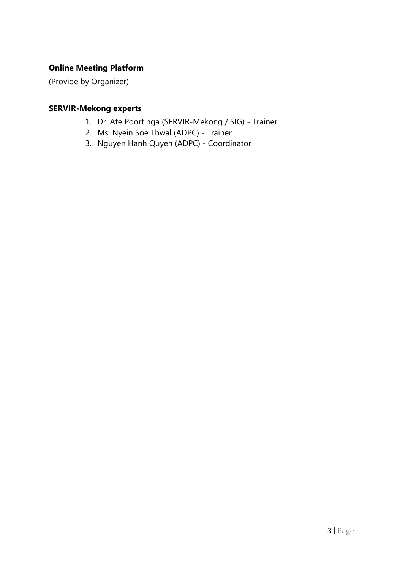#### **Online Meeting Platform**

(Provide by Organizer)

#### **SERVIR-Mekong experts**

- 1. Dr. Ate Poortinga (SERVIR-Mekong / SIG) Trainer
- 2. Ms. Nyein Soe Thwal (ADPC) Trainer
- 3. Nguyen Hanh Quyen (ADPC) Coordinator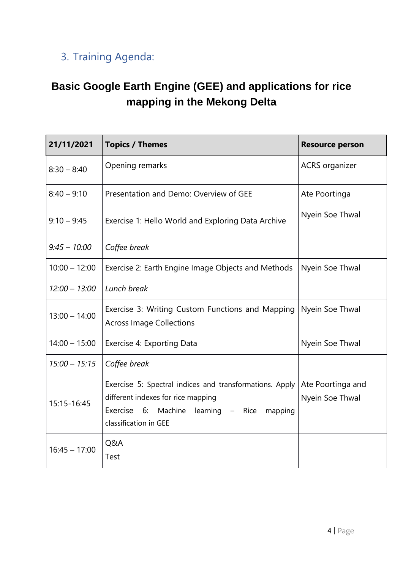## 3. Training Agenda:

## **Basic Google Earth Engine (GEE) and applications for rice mapping in the Mekong Delta**

| 21/11/2021      | <b>Topics / Themes</b>                                                                                                                                                         | <b>Resource person</b>               |
|-----------------|--------------------------------------------------------------------------------------------------------------------------------------------------------------------------------|--------------------------------------|
| $8:30 - 8:40$   | Opening remarks                                                                                                                                                                | <b>ACRS</b> organizer                |
| $8:40 - 9:10$   | Presentation and Demo: Overview of GEE                                                                                                                                         | Ate Poortinga                        |
| $9:10 - 9:45$   | Exercise 1: Hello World and Exploring Data Archive                                                                                                                             | Nyein Soe Thwal                      |
| $9:45 - 10:00$  | Coffee break                                                                                                                                                                   |                                      |
| $10:00 - 12:00$ | Exercise 2: Earth Engine Image Objects and Methods                                                                                                                             | Nyein Soe Thwal                      |
| $12:00 - 13:00$ | Lunch break                                                                                                                                                                    |                                      |
| $13:00 - 14:00$ | Exercise 3: Writing Custom Functions and Mapping<br><b>Across Image Collections</b>                                                                                            | Nyein Soe Thwal                      |
| $14:00 - 15:00$ | Exercise 4: Exporting Data                                                                                                                                                     | Nyein Soe Thwal                      |
| $15:00 - 15:15$ | Coffee break                                                                                                                                                                   |                                      |
| 15:15-16:45     | Exercise 5: Spectral indices and transformations. Apply<br>different indexes for rice mapping<br>Exercise<br>6:<br>Machine learning - Rice<br>mapping<br>classification in GEE | Ate Poortinga and<br>Nyein Soe Thwal |
| $16:45 - 17:00$ | Q&A<br><b>Test</b>                                                                                                                                                             |                                      |